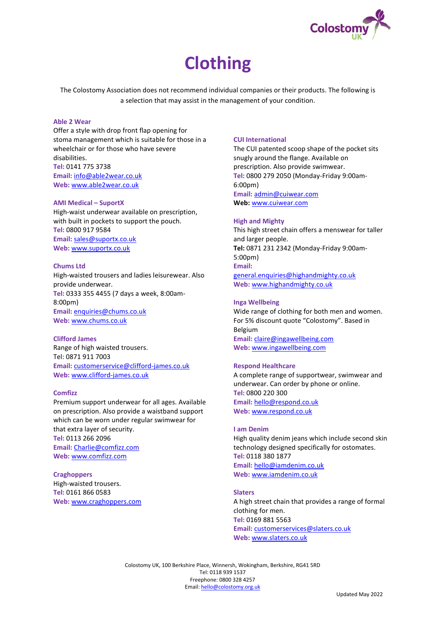

# **Clothing**

The Colostomy Association does not recommend individual companies or their products. The following is a selection that may assist in the management of your condition.

# **Able 2 Wear**

Offer a style with drop front flap opening for stoma management which is suitable for those in a wheelchair or for those who have severe disabilities. **Tel:** 0141 775 3738 **Email:** [info@able2wear.co.uk](mailto:info@able2wear.co.uk) **Web:** [www.able2wear.co.uk](http://www.able2wear.co.uk/)

#### **AMI Medical – SuportX**

High-waist underwear available on prescription, with built in pockets to support the pouch. **Tel:** 0800 917 9584 **Email:** [sales@suportx.co.uk](mailto:sales@suportx.co.uk) **Web:** [www.suportx.co.uk](http://www.suportx.co.uk/)

## **Chums Ltd**

High-waisted trousers and ladies leisurewear. Also provide underwear. **Tel:** 0333 355 4455 (7 days a week, 8:00am-8:00pm) **Email:** [enquiries@chums.co.uk](mailto:enquiries@chums.co.uk) **Web:** [www.chums.co.uk](http://www.chums.co.uk/)

## **Clifford James**

Range of high waisted trousers. Tel: 0871 911 7003 **Email:** [customerservice@clifford-james.co.uk](mailto:customerservice@clifford-james.co.uk) **Web:** [www.clifford-james.co.uk](http://www.clifford-james.co.uk/)

# **Comfizz**

Premium support underwear for all ages. Available on prescription. Also provide a waistband support which can be worn under regular swimwear for that extra layer of security. **Tel:** 0113 266 2096 **Email:** [Charlie@comfizz.com](mailto:Charlie@comfizz.com) **Web:** [www.comfizz.com](http://www.comfizz.com/)

**Craghoppers** High-waisted trousers. **Tel:** 0161 866 0583 **Web:** [www.craghoppers.com](http://www.craghoppers.com/)

# **CUI International**

The CUI patented scoop shape of the pocket sits snugly around the flange. Available on prescription. Also provide swimwear. **Tel:** 0800 279 2050 (Monday-Friday 9:00am-6:00pm) **Email:** [admin@cuiwear.com](mailto:admin@cuiwear.com) **Web:** [www.cuiwear.com](http://www.cuiwear.com/)

# **High and Mighty**

This high street chain offers a menswear for taller and larger people. **Tel:** 0871 231 2342 (Monday-Friday 9:00am-5:00pm) **Email:** [general.enquiries@highandmighty.co.uk](mailto:general.enquiries@highandmighty.co.uk) **Web:** [www.highandmighty.co.uk](http://www.highandmighty.co.uk/)

## **Inga Wellbeing**

Wide range of clothing for both men and women. For 5% discount quote "Colostomy". Based in Belgium **Email:** [claire@ingawellbeing.com](mailto:claire@ingawellbeing.com) **Web:** [www.ingawellbeing.com](http://www.ingawellbeing.com/)

#### **Respond Healthcare**

A complete range of supportwear, swimwear and underwear. Can order by phone or online. **Tel:** 0800 220 300 **Email:** [hello@respond.co.uk](mailto:hello@respond.co.uk) **Web:** [www.respond.co.uk](http://www.respond.co.uk/)

#### **I am Denim**

High quality denim jeans which include second skin technology designed specifically for ostomates. **Tel:** 0118 380 1877 **Email:** [hello@iamdenim.co.uk](mailto:hello@iamdenim.co.uk) **Web:** [www.iamdenim.co.uk](http://www.iamdenim.co.uk/)

# **Slaters**

A high street chain that provides a range of formal clothing for men. **Tel:** 0169 881 5563 **Email:** [customerservices@slaters.co.uk](mailto:customerservices@slaters.co.uk) **Web:** [www.slaters.co.uk](http://www.slaters.co.uk/)

Colostomy UK, 100 Berkshire Place, Winnersh, Wokingham, Berkshire, RG41 5RD Tel: 0118 939 1537 Freephone: 0800 328 4257 Email: hello[@colostomy.org.uk](mailto:info@colostomy.org.uk)